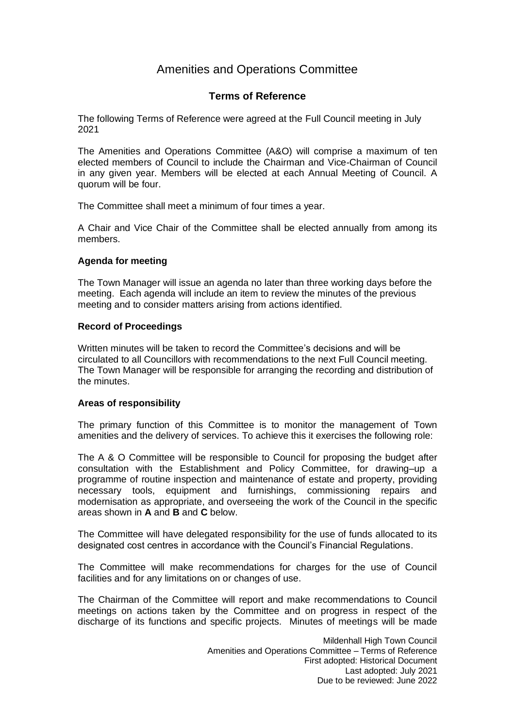# Amenities and Operations Committee

### **Terms of Reference**

The following Terms of Reference were agreed at the Full Council meeting in July 2021

The Amenities and Operations Committee (A&O) will comprise a maximum of ten elected members of Council to include the Chairman and Vice-Chairman of Council in any given year. Members will be elected at each Annual Meeting of Council. A quorum will be four.

The Committee shall meet a minimum of four times a year.

A Chair and Vice Chair of the Committee shall be elected annually from among its members.

#### **Agenda for meeting**

The Town Manager will issue an agenda no later than three working days before the meeting. Each agenda will include an item to review the minutes of the previous meeting and to consider matters arising from actions identified.

#### **Record of Proceedings**

Written minutes will be taken to record the Committee's decisions and will be circulated to all Councillors with recommendations to the next Full Council meeting. The Town Manager will be responsible for arranging the recording and distribution of the minutes.

#### **Areas of responsibility**

The primary function of this Committee is to monitor the management of Town amenities and the delivery of services. To achieve this it exercises the following role:

The A & O Committee will be responsible to Council for proposing the budget after consultation with the Establishment and Policy Committee, for drawing–up a programme of routine inspection and maintenance of estate and property, providing necessary tools, equipment and furnishings, commissioning repairs and modernisation as appropriate, and overseeing the work of the Council in the specific areas shown in **A** and **B** and **C** below.

The Committee will have delegated responsibility for the use of funds allocated to its designated cost centres in accordance with the Council's Financial Regulations.

The Committee will make recommendations for charges for the use of Council facilities and for any limitations on or changes of use.

The Chairman of the Committee will report and make recommendations to Council meetings on actions taken by the Committee and on progress in respect of the discharge of its functions and specific projects. Minutes of meetings will be made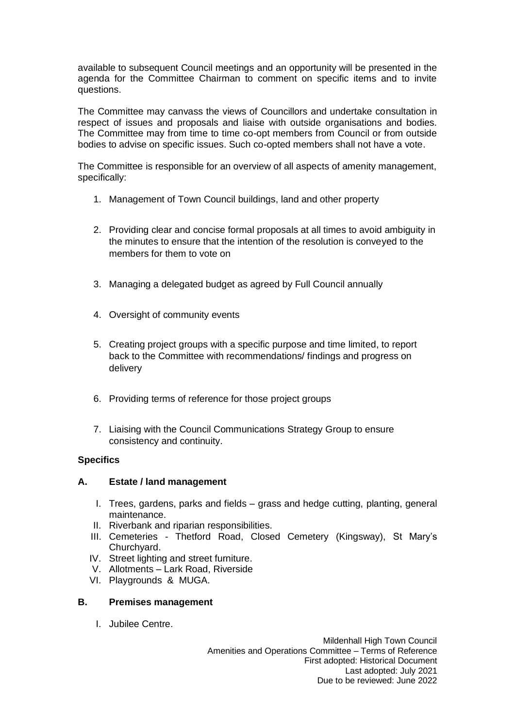available to subsequent Council meetings and an opportunity will be presented in the agenda for the Committee Chairman to comment on specific items and to invite questions.

The Committee may canvass the views of Councillors and undertake consultation in respect of issues and proposals and liaise with outside organisations and bodies. The Committee may from time to time co-opt members from Council or from outside bodies to advise on specific issues. Such co-opted members shall not have a vote.

The Committee is responsible for an overview of all aspects of amenity management, specifically:

- 1. Management of Town Council buildings, land and other property
- 2. Providing clear and concise formal proposals at all times to avoid ambiguity in the minutes to ensure that the intention of the resolution is conveyed to the members for them to vote on
- 3. Managing a delegated budget as agreed by Full Council annually
- 4. Oversight of community events
- 5. Creating project groups with a specific purpose and time limited, to report back to the Committee with recommendations/ findings and progress on delivery
- 6. Providing terms of reference for those project groups
- 7. Liaising with the Council Communications Strategy Group to ensure consistency and continuity.

#### **Specifics**

#### **A. Estate / land management**

- I. Trees, gardens, parks and fields grass and hedge cutting, planting, general maintenance.
- II. Riverbank and riparian responsibilities.
- III. Cemeteries Thetford Road, Closed Cemetery (Kingsway), St Mary's Churchyard.
- IV. Street lighting and street furniture.
- V. Allotments Lark Road, Riverside
- VI. Playgrounds & MUGA.

#### **B. Premises management**

I. Jubilee Centre.

Mildenhall High Town Council Amenities and Operations Committee – Terms of Reference First adopted: Historical Document Last adopted: July 2021 Due to be reviewed: June 2022